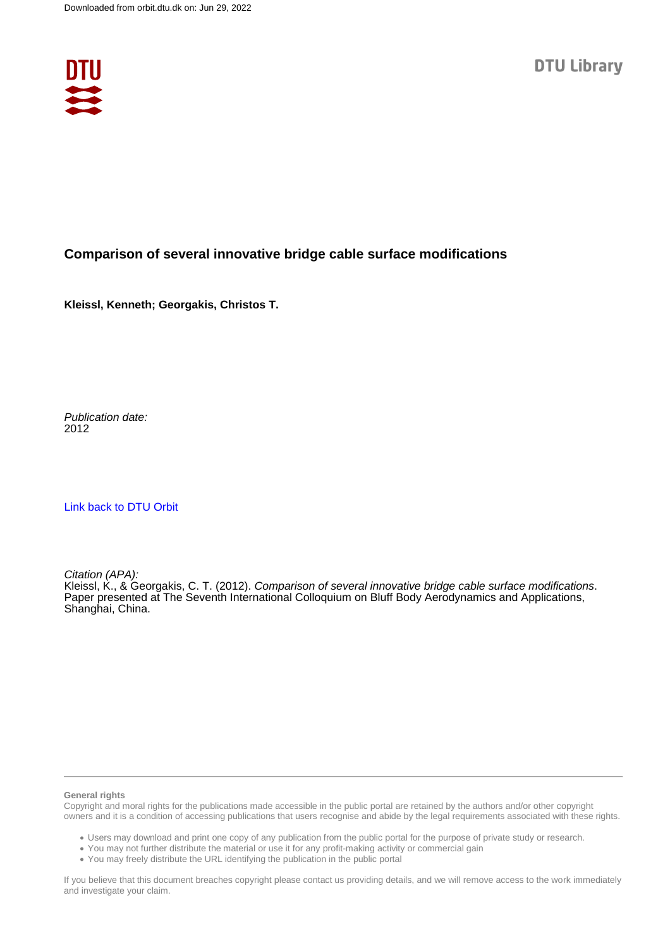

### **Comparison of several innovative bridge cable surface modifications**

**Kleissl, Kenneth; Georgakis, Christos T.**

Publication date: 2012

[Link back to DTU Orbit](https://orbit.dtu.dk/en/publications/ce92fa52-e389-441b-8619-d1a69f5b5582)

Citation (APA): Kleissl, K., & Georgakis, C. T. (2012). Comparison of several innovative bridge cable surface modifications. Paper presented at The Seventh International Colloquium on Bluff Body Aerodynamics and Applications, Shanghai, China.

#### **General rights**

Copyright and moral rights for the publications made accessible in the public portal are retained by the authors and/or other copyright owners and it is a condition of accessing publications that users recognise and abide by the legal requirements associated with these rights.

Users may download and print one copy of any publication from the public portal for the purpose of private study or research.

- You may not further distribute the material or use it for any profit-making activity or commercial gain
- You may freely distribute the URL identifying the publication in the public portal

If you believe that this document breaches copyright please contact us providing details, and we will remove access to the work immediately and investigate your claim.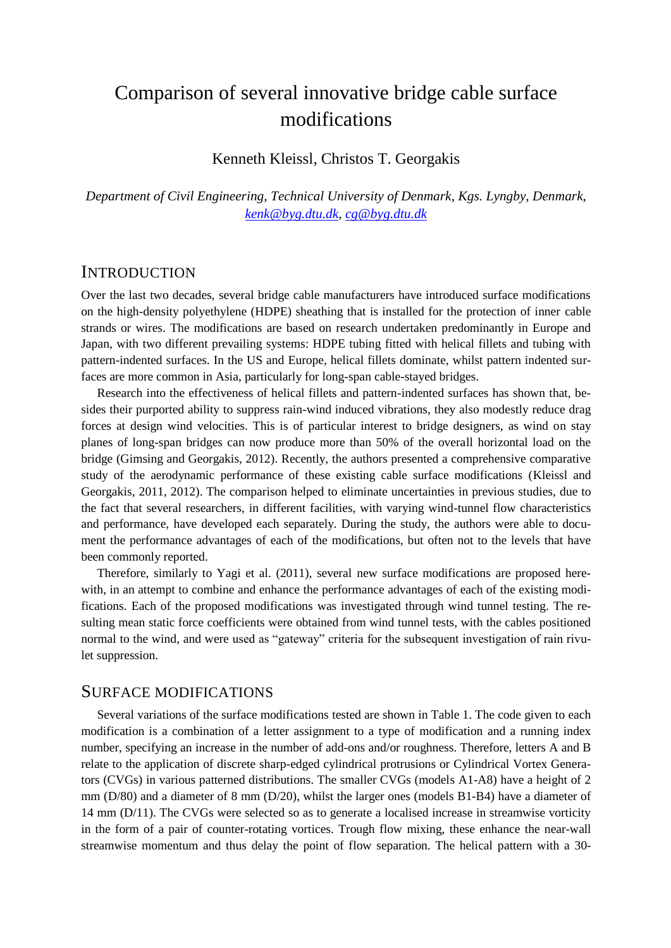# Comparison of several innovative bridge cable surface modifications

Kenneth Kleissl, Christos T. Georgakis

*Department of Civil Engineering, Technical University of Denmark, Kgs. Lyngby, Denmark, [kenk@byg.dtu.dk,](mailto:kenk@byg.dtu.dk) [cg@byg.dtu.dk](mailto:cg@byg.dtu.dk)*

### **INTRODUCTION**

Over the last two decades, several bridge cable manufacturers have introduced surface modifications on the high-density polyethylene (HDPE) sheathing that is installed for the protection of inner cable strands or wires. The modifications are based on research undertaken predominantly in Europe and Japan, with two different prevailing systems: HDPE tubing fitted with helical fillets and tubing with pattern-indented surfaces. In the US and Europe, helical fillets dominate, whilst pattern indented surfaces are more common in Asia, particularly for long-span cable-stayed bridges.

Research into the effectiveness of helical fillets and pattern-indented surfaces has shown that, besides their purported ability to suppress rain-wind induced vibrations, they also modestly reduce drag forces at design wind velocities. This is of particular interest to bridge designers, as wind on stay planes of long-span bridges can now produce more than 50% of the overall horizontal load on the bridge (Gimsing and Georgakis, 2012). Recently, the authors presented a comprehensive comparative study of the aerodynamic performance of these existing cable surface modifications (Kleissl and Georgakis, 2011, 2012). The comparison helped to eliminate uncertainties in previous studies, due to the fact that several researchers, in different facilities, with varying wind-tunnel flow characteristics and performance, have developed each separately. During the study, the authors were able to document the performance advantages of each of the modifications, but often not to the levels that have been commonly reported.

Therefore, similarly to Yagi et al. (2011), several new surface modifications are proposed herewith, in an attempt to combine and enhance the performance advantages of each of the existing modifications. Each of the proposed modifications was investigated through wind tunnel testing. The resulting mean static force coefficients were obtained from wind tunnel tests, with the cables positioned normal to the wind, and were used as "gateway" criteria for the subsequent investigation of rain rivulet suppression.

### SURFACE MODIFICATIONS

Several variations of the surface modifications tested are shown in Table 1. The code given to each modification is a combination of a letter assignment to a type of modification and a running index number, specifying an increase in the number of add-ons and/or roughness. Therefore, letters A and B relate to the application of discrete sharp-edged cylindrical protrusions or Cylindrical Vortex Generators (CVGs) in various patterned distributions. The smaller CVGs (models A1-A8) have a height of 2 mm (D/80) and a diameter of 8 mm (D/20), whilst the larger ones (models B1-B4) have a diameter of 14 mm (D/11). The CVGs were selected so as to generate a localised increase in streamwise vorticity in the form of a pair of counter-rotating vortices. Trough flow mixing, these enhance the near-wall streamwise momentum and thus delay the point of flow separation. The helical pattern with a 30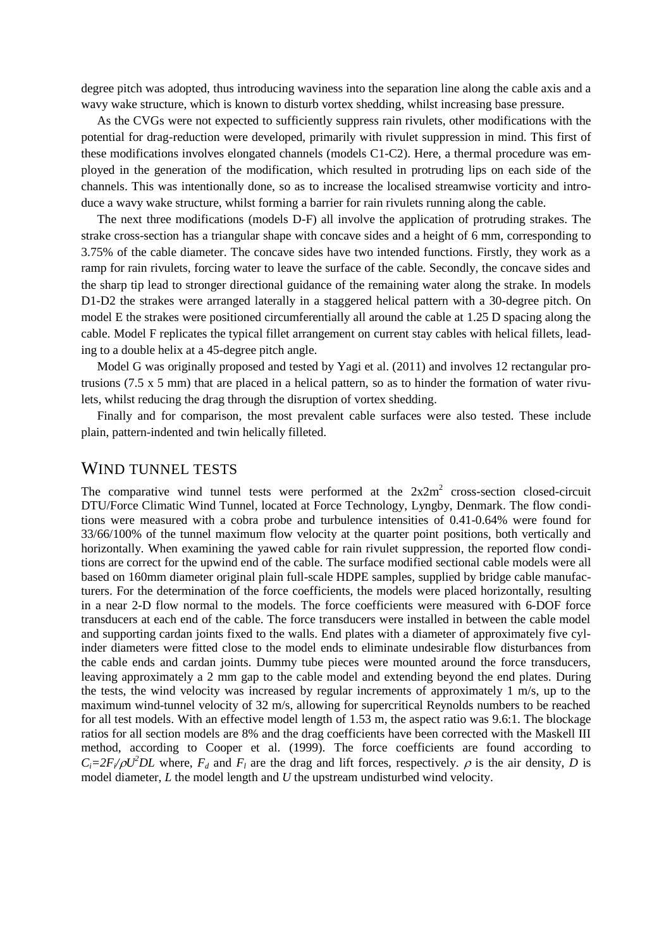degree pitch was adopted, thus introducing waviness into the separation line along the cable axis and a wavy wake structure, which is known to disturb vortex shedding, whilst increasing base pressure.

As the CVGs were not expected to sufficiently suppress rain rivulets, other modifications with the potential for drag-reduction were developed, primarily with rivulet suppression in mind. This first of these modifications involves elongated channels (models C1-C2). Here, a thermal procedure was employed in the generation of the modification, which resulted in protruding lips on each side of the channels. This was intentionally done, so as to increase the localised streamwise vorticity and introduce a wavy wake structure, whilst forming a barrier for rain rivulets running along the cable.

The next three modifications (models D-F) all involve the application of protruding strakes. The strake cross-section has a triangular shape with concave sides and a height of 6 mm, corresponding to 3.75% of the cable diameter. The concave sides have two intended functions. Firstly, they work as a ramp for rain rivulets, forcing water to leave the surface of the cable. Secondly, the concave sides and the sharp tip lead to stronger directional guidance of the remaining water along the strake. In models D1-D2 the strakes were arranged laterally in a staggered helical pattern with a 30-degree pitch. On model E the strakes were positioned circumferentially all around the cable at 1.25 D spacing along the cable. Model F replicates the typical fillet arrangement on current stay cables with helical fillets, leading to a double helix at a 45-degree pitch angle.

Model G was originally proposed and tested by Yagi et al. (2011) and involves 12 rectangular protrusions (7.5 x 5 mm) that are placed in a helical pattern, so as to hinder the formation of water rivulets, whilst reducing the drag through the disruption of vortex shedding.

Finally and for comparison, the most prevalent cable surfaces were also tested. These include plain, pattern-indented and twin helically filleted.

### WIND TUNNEL TESTS

The comparative wind tunnel tests were performed at the  $2x2m^2$  cross-section closed-circuit DTU/Force Climatic Wind Tunnel, located at Force Technology, Lyngby, Denmark. The flow conditions were measured with a cobra probe and turbulence intensities of 0.41-0.64% were found for 33/66/100% of the tunnel maximum flow velocity at the quarter point positions, both vertically and horizontally. When examining the yawed cable for rain rivulet suppression, the reported flow conditions are correct for the upwind end of the cable. The surface modified sectional cable models were all based on 160mm diameter original plain full-scale HDPE samples, supplied by bridge cable manufacturers. For the determination of the force coefficients, the models were placed horizontally, resulting in a near 2-D flow normal to the models. The force coefficients were measured with 6-DOF force transducers at each end of the cable. The force transducers were installed in between the cable model and supporting cardan joints fixed to the walls. End plates with a diameter of approximately five cylinder diameters were fitted close to the model ends to eliminate undesirable flow disturbances from the cable ends and cardan joints. Dummy tube pieces were mounted around the force transducers, leaving approximately a 2 mm gap to the cable model and extending beyond the end plates. During the tests, the wind velocity was increased by regular increments of approximately 1 m/s, up to the maximum wind-tunnel velocity of 32 m/s, allowing for supercritical Reynolds numbers to be reached for all test models. With an effective model length of 1.53 m, the aspect ratio was 9.6:1. The blockage ratios for all section models are 8% and the drag coefficients have been corrected with the Maskell III method, according to Cooper et al. (1999). The force coefficients are found according to  $C_i = 2F_i/\rho U^2DL$  where,  $F_d$  and  $F_l$  are the drag and lift forces, respectively.  $\rho$  is the air density, *D* is model diameter, *L* the model length and *U* the upstream undisturbed wind velocity.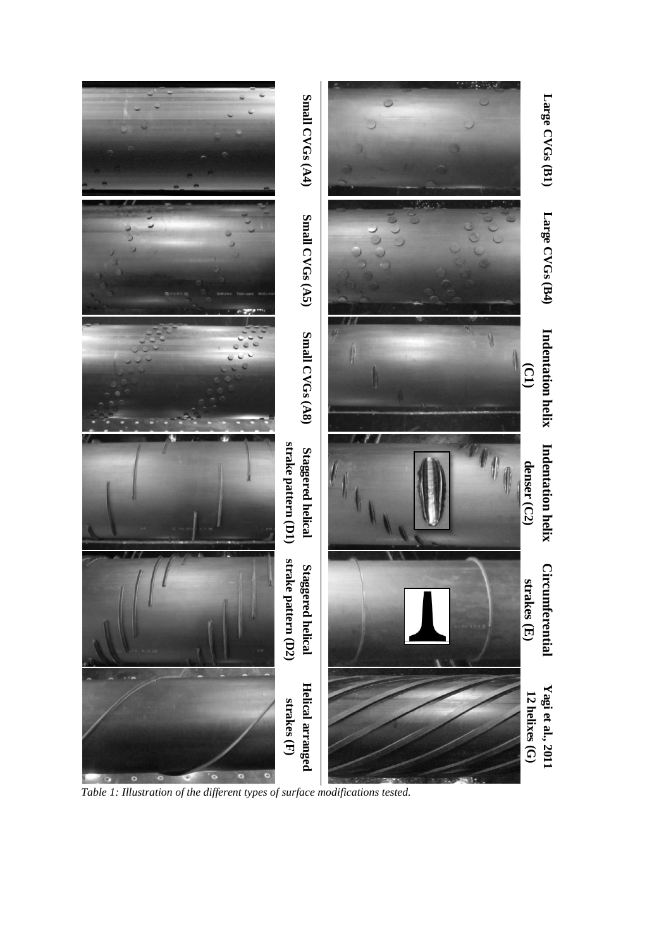

*Table 1: Illustration of the different types of surface modifications tested.*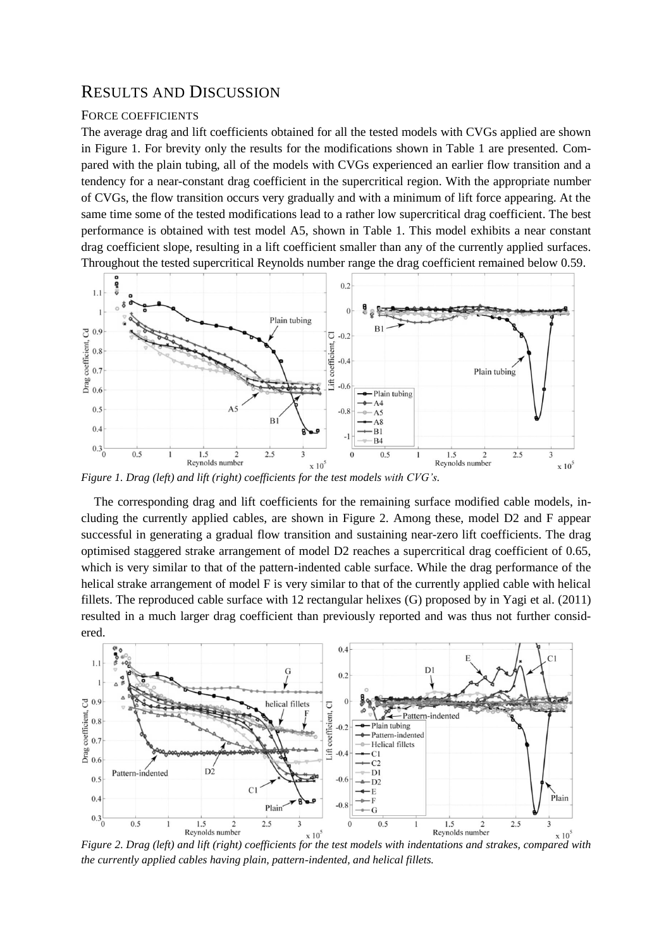## RESULTS AND DISCUSSION

#### FORCE COEFFICIENTS

The average drag and lift coefficients obtained for all the tested models with CVGs applied are shown in Figure 1. For brevity only the results for the modifications shown in Table 1 are presented. Compared with the plain tubing, all of the models with CVGs experienced an earlier flow transition and a tendency for a near-constant drag coefficient in the supercritical region. With the appropriate number of CVGs, the flow transition occurs very gradually and with a minimum of lift force appearing. At the same time some of the tested modifications lead to a rather low supercritical drag coefficient. The best performance is obtained with test model A5, shown in Table 1. This model exhibits a near constant drag coefficient slope, resulting in a lift coefficient smaller than any of the currently applied surfaces. Throughout the tested supercritical Reynolds number range the drag coefficient remained below 0.59.



*Figure 1. Drag (left) and lift (right) coefficients for the test models with CVG's.*

The corresponding drag and lift coefficients for the remaining surface modified cable models, including the currently applied cables, are shown in Figure 2. Among these, model D2 and F appear successful in generating a gradual flow transition and sustaining near-zero lift coefficients. The drag optimised staggered strake arrangement of model D2 reaches a supercritical drag coefficient of 0.65, which is very similar to that of the pattern-indented cable surface. While the drag performance of the helical strake arrangement of model F is very similar to that of the currently applied cable with helical fillets. The reproduced cable surface with 12 rectangular helixes (G) proposed by in Yagi et al. (2011) resulted in a much larger drag coefficient than previously reported and was thus not further considered.



<sup>*K*</sup> <sup>Reynolds number  $\frac{x}{10^5}$  **Figure 2.** *Drag (left) and lift (right) coefficients for the test models with indentations and strakes, compared with*</sup> *the currently applied cables having plain, pattern-indented, and helical fillets.*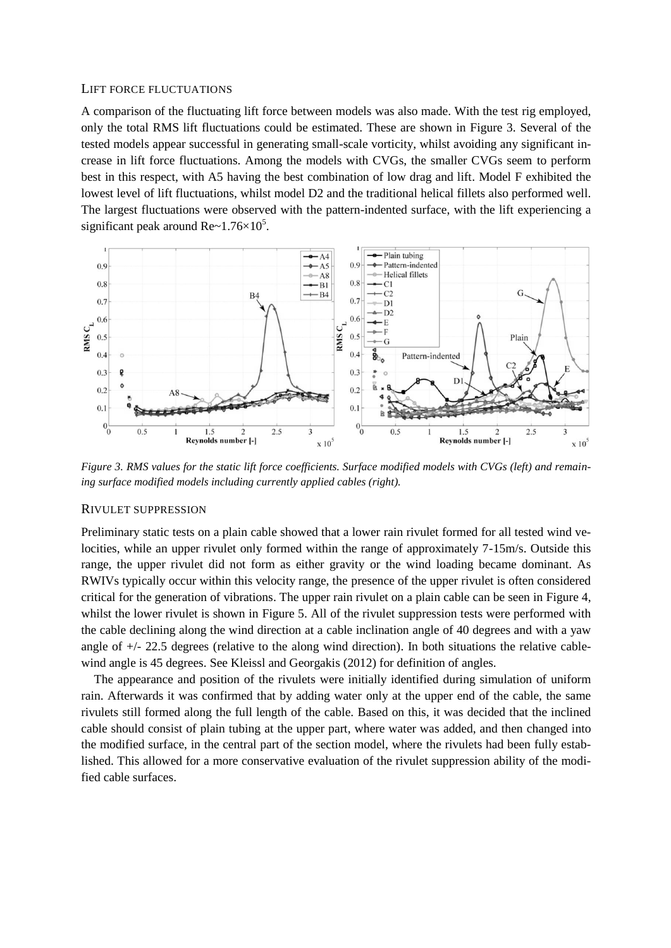#### LIFT FORCE FLUCTUATIONS

A comparison of the fluctuating lift force between models was also made. With the test rig employed, only the total RMS lift fluctuations could be estimated. These are shown in Figure 3. Several of the tested models appear successful in generating small-scale vorticity, whilst avoiding any significant increase in lift force fluctuations. Among the models with CVGs, the smaller CVGs seem to perform best in this respect, with A5 having the best combination of low drag and lift. Model F exhibited the lowest level of lift fluctuations, whilst model D2 and the traditional helical fillets also performed well. The largest fluctuations were observed with the pattern-indented surface, with the lift experiencing a significant peak around  $Re~1.76 \times 10^5$ .



*Figure 3. RMS values for the static lift force coefficients. Surface modified models with CVGs (left) and remaining surface modified models including currently applied cables (right).*

#### RIVULET SUPPRESSION

Preliminary static tests on a plain cable showed that a lower rain rivulet formed for all tested wind velocities, while an upper rivulet only formed within the range of approximately 7-15m/s. Outside this range, the upper rivulet did not form as either gravity or the wind loading became dominant. As RWIVs typically occur within this velocity range, the presence of the upper rivulet is often considered critical for the generation of vibrations. The upper rain rivulet on a plain cable can be seen in Figure 4, whilst the lower rivulet is shown in Figure 5. All of the rivulet suppression tests were performed with the cable declining along the wind direction at a cable inclination angle of 40 degrees and with a yaw angle of +/- 22.5 degrees (relative to the along wind direction). In both situations the relative cablewind angle is 45 degrees. See Kleissl and Georgakis (2012) for definition of angles.

The appearance and position of the rivulets were initially identified during simulation of uniform rain. Afterwards it was confirmed that by adding water only at the upper end of the cable, the same rivulets still formed along the full length of the cable. Based on this, it was decided that the inclined cable should consist of plain tubing at the upper part, where water was added, and then changed into the modified surface, in the central part of the section model, where the rivulets had been fully established. This allowed for a more conservative evaluation of the rivulet suppression ability of the modified cable surfaces.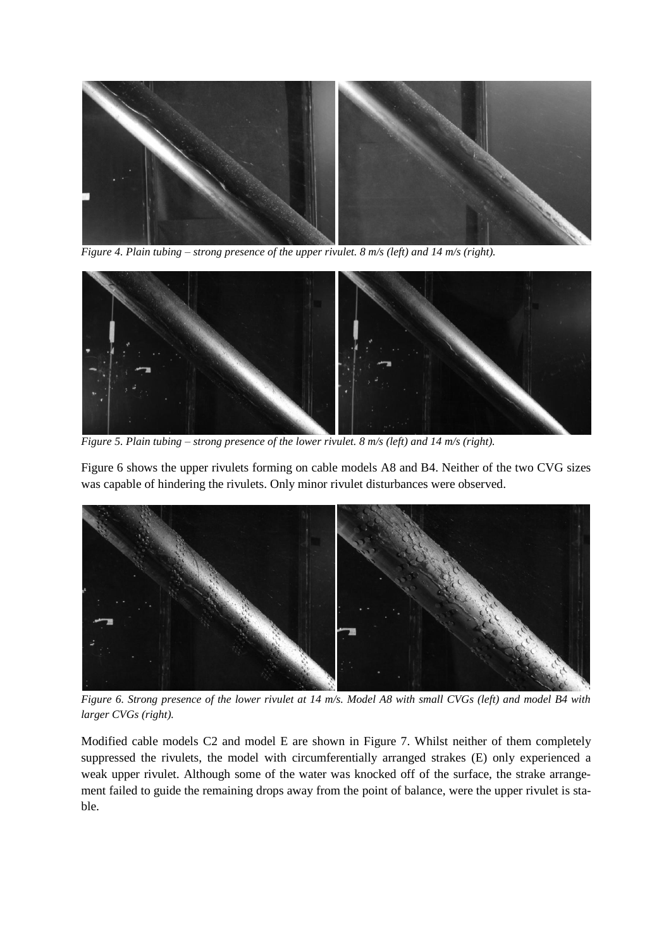

*Figure 4. Plain tubing – strong presence of the upper rivulet. 8 m/s (left) and 14 m/s (right).*



*Figure 5. Plain tubing – strong presence of the lower rivulet. 8 m/s (left) and 14 m/s (right).*

Figure 6 shows the upper rivulets forming on cable models A8 and B4. Neither of the two CVG sizes was capable of hindering the rivulets. Only minor rivulet disturbances were observed.



*Figure 6. Strong presence of the lower rivulet at 14 m/s. Model A8 with small CVGs (left) and model B4 with larger CVGs (right).*

Modified cable models C2 and model E are shown in Figure 7. Whilst neither of them completely suppressed the rivulets, the model with circumferentially arranged strakes (E) only experienced a weak upper rivulet. Although some of the water was knocked off of the surface, the strake arrangement failed to guide the remaining drops away from the point of balance, were the upper rivulet is stable.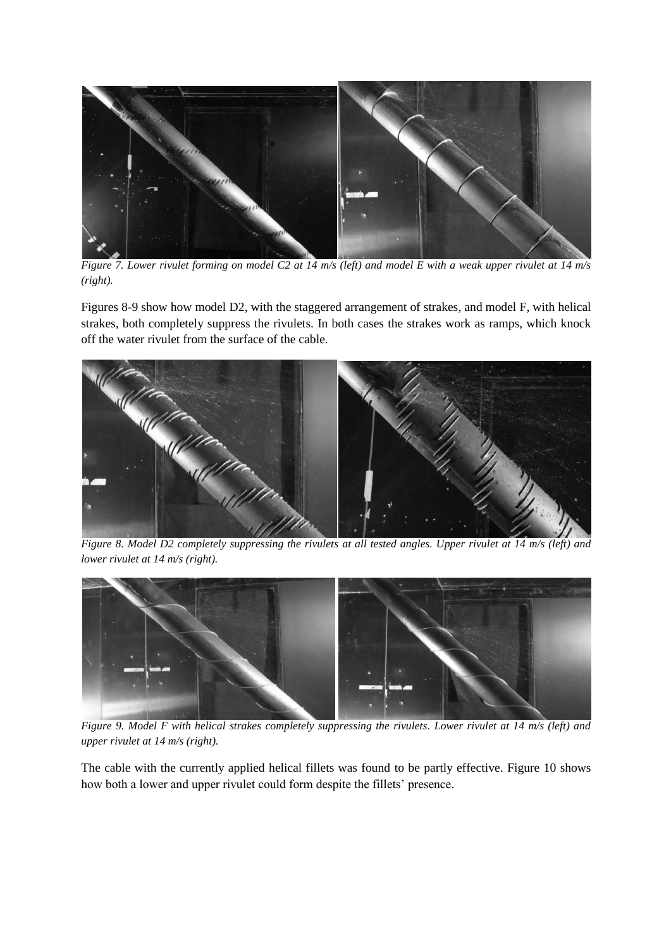

*Figure 7. Lower rivulet forming on model C2 at 14 m/s (left) and model E with a weak upper rivulet at 14 m/s (right).*

Figures 8-9 show how model D2, with the staggered arrangement of strakes, and model F, with helical strakes, both completely suppress the rivulets. In both cases the strakes work as ramps, which knock off the water rivulet from the surface of the cable.



*Figure 8. Model D2 completely suppressing the rivulets at all tested angles. Upper rivulet at 14 m/s (left) and lower rivulet at 14 m/s (right).*



*Figure 9. Model F with helical strakes completely suppressing the rivulets. Lower rivulet at 14 m/s (left) and upper rivulet at 14 m/s (right).*

The cable with the currently applied helical fillets was found to be partly effective. Figure 10 shows how both a lower and upper rivulet could form despite the fillets' presence.